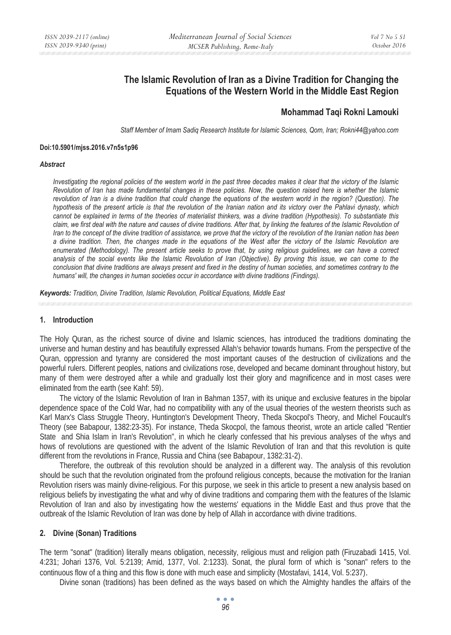# **The Islamic Revolution of Iran as a Divine Tradition for Changing the Equations of the Western World in the Middle East Region**

# **Mohammad Taqi Rokni Lamouki**

*Staff Member of Imam Sadiq Research Institute for Islamic Sciences, Qom, Iran; Rokni44@yahoo.com* 

#### **Doi:10.5901/mjss.2016.v7n5s1p96**

#### *Abstract*

*Investigating the regional policies of the western world in the past three decades makes it clear that the victory of the Islamic Revolution of Iran has made fundamental changes in these policies. Now, the question raised here is whether the Islamic revolution of Iran is a divine tradition that could change the equations of the western world in the region? (Question). The hypothesis of the present article is that the revolution of the Iranian nation and its victory over the Pahlavi dynasty, which cannot be explained in terms of the theories of materialist thinkers, was a divine tradition (Hypothesis). To substantiate this* claim, we first deal with the nature and causes of divine traditions. After that, by linking the features of the Islamic Revolution of *Iran to the concept of the divine tradition of assistance, we prove that the victory of the revolution of the Iranian nation has been a divine tradition. Then, the changes made in the equations of the West after the victory of the Islamic Revolution are enumerated (Methodology). The present article seeks to prove that, by using religious guidelines, we can have a correct analysis of the social events like the Islamic Revolution of Iran (Objective). By proving this issue, we can come to the conclusion that divine traditions are always present and fixed in the destiny of human societies, and sometimes contrary to the humans' will, the changes in human societies occur in accordance with divine traditions (Findings).* 

*Keywords: Tradition, Divine Tradition, Islamic Revolution, Political Equations, Middle East* 

# **1. Introduction**

The Holy Quran, as the richest source of divine and Islamic sciences, has introduced the traditions dominating the universe and human destiny and has beautifully expressed Allah's behavior towards humans. From the perspective of the Quran, oppression and tyranny are considered the most important causes of the destruction of civilizations and the powerful rulers. Different peoples, nations and civilizations rose, developed and became dominant throughout history, but many of them were destroyed after a while and gradually lost their glory and magnificence and in most cases were eliminated from the earth (see Kahf: 59).

The victory of the Islamic Revolution of Iran in Bahman 1357, with its unique and exclusive features in the bipolar dependence space of the Cold War, had no compatibility with any of the usual theories of the western theorists such as Karl Marx's Class Struggle Theory, Huntington's Development Theory, Theda Skocpol's Theory, and Michel Foucault's Theory (see Babapour, 1382:23-35). For instance, Theda Skocpol, the famous theorist, wrote an article called "Rentier State and Shia Islam in Iran's Revolution", in which he clearly confessed that his previous analyses of the whys and hows of revolutions are questioned with the advent of the Islamic Revolution of Iran and that this revolution is quite different from the revolutions in France, Russia and China (see Babapour, 1382:31-2).

Therefore, the outbreak of this revolution should be analyzed in a different way. The analysis of this revolution should be such that the revolution originated from the profound religious concepts, because the motivation for the Iranian Revolution risers was mainly divine-religious. For this purpose, we seek in this article to present a new analysis based on religious beliefs by investigating the what and why of divine traditions and comparing them with the features of the Islamic Revolution of Iran and also by investigating how the westerns' equations in the Middle East and thus prove that the outbreak of the Islamic Revolution of Iran was done by help of Allah in accordance with divine traditions.

## **2. Divine (Sonan) Traditions**

The term "sonat" (tradition) literally means obligation, necessity, religious must and religion path (Firuzabadi 1415, Vol. 4:231; Johari 1376, Vol. 5:2139; Amid, 1377, Vol. 2:1233). Sonat, the plural form of which is "sonan" refers to the continuous flow of a thing and this flow is done with much ease and simplicity (Mostafavi, 1414, Vol. 5:237).

Divine sonan (traditions) has been defined as the ways based on which the Almighty handles the affairs of the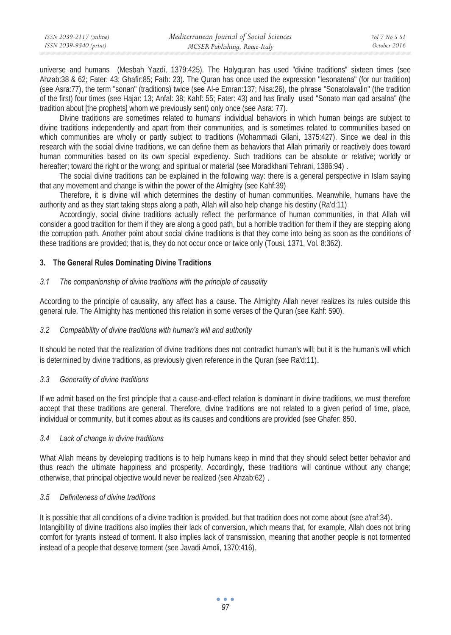universe and humans (Mesbah Yazdi, 1379:425). The Holyquran has used "divine traditions" sixteen times (see Ahzab:38 & 62; Fater: 43; Ghafir:85; Fath: 23). The Quran has once used the expression "lesonatena" (for our tradition) (see Asra:77), the term "sonan" (traditions) twice (see Al-e Emran:137; Nisa:26), the phrase "Sonatolavalin" (the tradition of the first) four times (see Hajar: 13; Anfal: 38; Kahf: 55; Fater: 43) and has finally used "Sonato man qad arsalna" (the tradition about [the prophets] whom we previously sent) only once (see Asra: 77).

Divine traditions are sometimes related to humans' individual behaviors in which human beings are subject to divine traditions independently and apart from their communities, and is sometimes related to communities based on which communities are wholly or partly subject to traditions (Mohammadi Gilani, 1375:427). Since we deal in this research with the social divine traditions, we can define them as behaviors that Allah primarily or reactively does toward human communities based on its own special expediency. Such traditions can be absolute or relative; worldly or hereafter; toward the right or the wrong; and spiritual or material (see Moradkhani Tehrani, 1386:94).

The social divine traditions can be explained in the following way: there is a general perspective in Islam saying that any movement and change is within the power of the Almighty (see Kahf:39)

Therefore, it is divine will which determines the destiny of human communities. Meanwhile, humans have the authority and as they start taking steps along a path, Allah will also help change his destiny (Ra'd:11)

Accordingly, social divine traditions actually reflect the performance of human communities, in that Allah will consider a good tradition for them if they are along a good path, but a horrible tradition for them if they are stepping along the corruption path. Another point about social divine traditions is that they come into being as soon as the conditions of these traditions are provided; that is, they do not occur once or twice only (Tousi, 1371, Vol. 8:362).

# **3. The General Rules Dominating Divine Traditions**

## *3.1 The companionship of divine traditions with the principle of causality*

According to the principle of causality, any affect has a cause. The Almighty Allah never realizes its rules outside this general rule. The Almighty has mentioned this relation in some verses of the Quran (see Kahf: 590).

## *3.2 Compatibility of divine traditions with human's will and authority*

It should be noted that the realization of divine traditions does not contradict human's will; but it is the human's will which is determined by divine traditions, as previously given reference in the Quran (see Ra'd:11).

## *3.3 Generality of divine traditions*

If we admit based on the first principle that a cause-and-effect relation is dominant in divine traditions, we must therefore accept that these traditions are general. Therefore, divine traditions are not related to a given period of time, place, individual or community, but it comes about as its causes and conditions are provided (see Ghafer: 850.

## *3.4 Lack of change in divine traditions*

What Allah means by developing traditions is to help humans keep in mind that they should select better behavior and thus reach the ultimate happiness and prosperity. Accordingly, these traditions will continue without any change; otherwise, that principal objective would never be realized (see Ahzab:62) .

# *3.5 Definiteness of divine traditions*

It is possible that all conditions of a divine tradition is provided, but that tradition does not come about (see a'raf:34). Intangibility of divine traditions also implies their lack of conversion, which means that, for example, Allah does not bring comfort for tyrants instead of torment. It also implies lack of transmission, meaning that another people is not tormented instead of a people that deserve torment (see Javadi Amoli, 1370:416).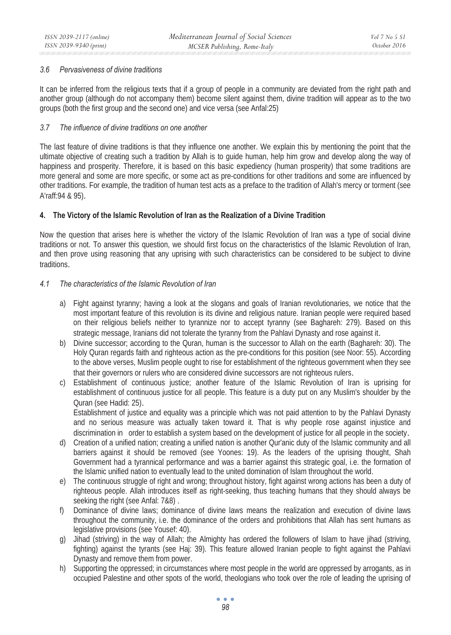## *3.6 Pervasiveness of divine traditions*

It can be inferred from the religious texts that if a group of people in a community are deviated from the right path and another group (although do not accompany them) become silent against them, divine tradition will appear as to the two groups (both the first group and the second one) and vice versa (see Anfal:25)

# *3.7 The influence of divine traditions on one another*

The last feature of divine traditions is that they influence one another. We explain this by mentioning the point that the ultimate objective of creating such a tradition by Allah is to guide human, help him grow and develop along the way of happiness and prosperity. Therefore, it is based on this basic expediency (human prosperity) that some traditions are more general and some are more specific, or some act as pre-conditions for other traditions and some are influenced by other traditions. For example, the tradition of human test acts as a preface to the tradition of Allah's mercy or torment (see A'raff:94 & 95).

# **4. The Victory of the Islamic Revolution of Iran as the Realization of a Divine Tradition**

Now the question that arises here is whether the victory of the Islamic Revolution of Iran was a type of social divine traditions or not. To answer this question, we should first focus on the characteristics of the Islamic Revolution of Iran, and then prove using reasoning that any uprising with such characteristics can be considered to be subject to divine traditions.

# *4.1 The characteristics of the Islamic Revolution of Iran*

- a) Fight against tyranny; having a look at the slogans and goals of Iranian revolutionaries, we notice that the most important feature of this revolution is its divine and religious nature. Iranian people were required based on their religious beliefs neither to tyrannize nor to accept tyranny (see Baghareh: 279). Based on this strategic message, Iranians did not tolerate the tyranny from the Pahlavi Dynasty and rose against it.
- b) Divine successor; according to the Quran, human is the successor to Allah on the earth (Baghareh: 30). The Holy Quran regards faith and righteous action as the pre-conditions for this position (see Noor: 55). According to the above verses, Muslim people ought to rise for establishment of the righteous government when they see that their governors or rulers who are considered divine successors are not righteous rulers.
- c) Establishment of continuous justice; another feature of the Islamic Revolution of Iran is uprising for establishment of continuous justice for all people. This feature is a duty put on any Muslim's shoulder by the Quran (see Hadid: 25).

Establishment of justice and equality was a principle which was not paid attention to by the Pahlavi Dynasty and no serious measure was actually taken toward it. That is why people rose against injustice and discrimination in order to establish a system based on the development of justice for all people in the society.

- d) Creation of a unified nation; creating a unified nation is another Qur'anic duty of the Islamic community and all barriers against it should be removed (see Yoones: 19). As the leaders of the uprising thought, Shah Government had a tyrannical performance and was a barrier against this strategic goal, i.e. the formation of the Islamic unified nation to eventually lead to the united domination of Islam throughout the world.
- e) The continuous struggle of right and wrong; throughout history, fight against wrong actions has been a duty of righteous people. Allah introduces itself as right-seeking, thus teaching humans that they should always be seeking the right (see Anfal: 7&8) .
- f) Dominance of divine laws; dominance of divine laws means the realization and execution of divine laws throughout the community, i.e. the dominance of the orders and prohibitions that Allah has sent humans as legislative provisions (see Yousef: 40).
- g) Jihad (striving) in the way of Allah; the Almighty has ordered the followers of Islam to have jihad (striving, fighting) against the tyrants (see Haj: 39). This feature allowed Iranian people to fight against the Pahlavi Dynasty and remove them from power.
- h) Supporting the oppressed; in circumstances where most people in the world are oppressed by arrogants, as in occupied Palestine and other spots of the world, theologians who took over the role of leading the uprising of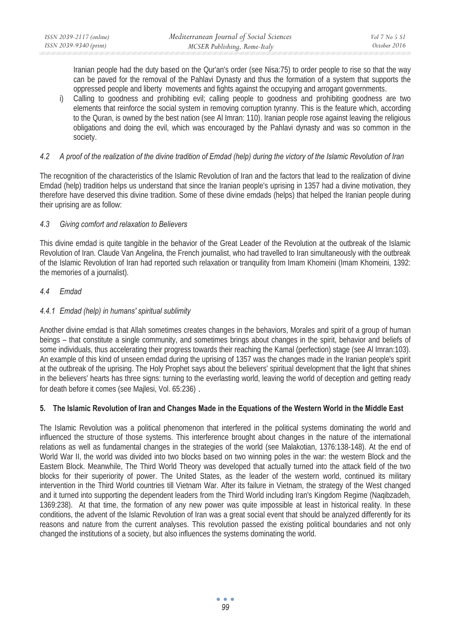Iranian people had the duty based on the Qur'an's order (see Nisa:75) to order people to rise so that the way can be paved for the removal of the Pahlavi Dynasty and thus the formation of a system that supports the oppressed people and liberty movements and fights against the occupying and arrogant governments.

i) Calling to goodness and prohibiting evil; calling people to goodness and prohibiting goodness are two elements that reinforce the social system in removing corruption tyranny. This is the feature which, according to the Quran, is owned by the best nation (see Al Imran: 110). Iranian people rose against leaving the religious obligations and doing the evil, which was encouraged by the Pahlavi dynasty and was so common in the society.

# *4.2 A proof of the realization of the divine tradition of Emdad (help) during the victory of the Islamic Revolution of Iran*

The recognition of the characteristics of the Islamic Revolution of Iran and the factors that lead to the realization of divine Emdad (help) tradition helps us understand that since the Iranian people's uprising in 1357 had a divine motivation, they therefore have deserved this divine tradition. Some of these divine emdads (helps) that helped the Iranian people during their uprising are as follow:

# *4.3 Giving comfort and relaxation to Believers*

This divine emdad is quite tangible in the behavior of the Great Leader of the Revolution at the outbreak of the Islamic Revolution of Iran. Claude Van Angelina, the French journalist, who had travelled to Iran simultaneously with the outbreak of the Islamic Revolution of Iran had reported such relaxation or tranquility from Imam Khomeini (Imam Khomeini, 1392: the memories of a journalist).

# *4.4 Emdad*

# *4.4.1 Emdad (help) in humans' spiritual sublimity*

Another divine emdad is that Allah sometimes creates changes in the behaviors, Morales and spirit of a group of human beings – that constitute a single community, and sometimes brings about changes in the spirit, behavior and beliefs of some individuals, thus accelerating their progress towards their reaching the Kamal (perfection) stage (see Al Imran:103). An example of this kind of unseen emdad during the uprising of 1357 was the changes made in the Iranian people's spirit at the outbreak of the uprising. The Holy Prophet says about the believers' spiritual development that the light that shines in the believers' hearts has three signs: turning to the everlasting world, leaving the world of deception and getting ready for death before it comes (see Majlesi, Vol. 65:236) .

# **5. The Islamic Revolution of Iran and Changes Made in the Equations of the Western World in the Middle East**

The Islamic Revolution was a political phenomenon that interfered in the political systems dominating the world and influenced the structure of those systems. This interference brought about changes in the nature of the international relations as well as fundamental changes in the strategies of the world (see Malakotian, 1376:138-148). At the end of World War II, the world was divided into two blocks based on two winning poles in the war: the western Block and the Eastern Block. Meanwhile, The Third World Theory was developed that actually turned into the attack field of the two blocks for their superiority of power. The United States, as the leader of the western world, continued its military intervention in the Third World countries till Vietnam War. After its failure in Vietnam, the strategy of the West changed and it turned into supporting the dependent leaders from the Third World including Iran's Kingdom Regime (Naqibzadeh, 1369:238). At that time, the formation of any new power was quite impossible at least in historical reality. In these conditions, the advent of the Islamic Revolution of Iran was a great social event that should be analyzed differently for its reasons and nature from the current analyses. This revolution passed the existing political boundaries and not only changed the institutions of a society, but also influences the systems dominating the world.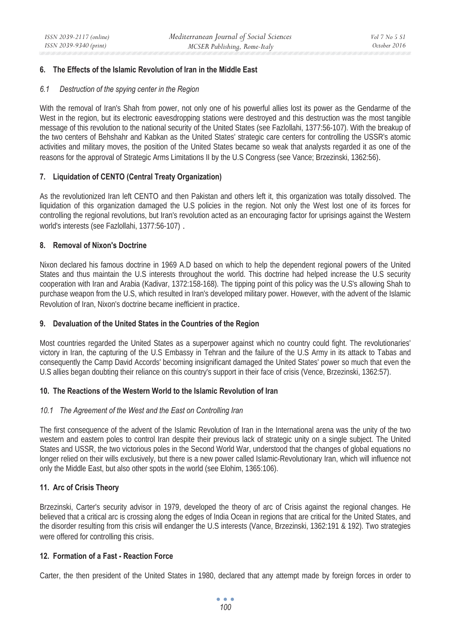# **6. The Effects of the Islamic Revolution of Iran in the Middle East**

## *6.1 Destruction of the spying center in the Region*

With the removal of Iran's Shah from power, not only one of his powerful allies lost its power as the Gendarme of the West in the region, but its electronic eavesdropping stations were destroyed and this destruction was the most tangible message of this revolution to the national security of the United States (see Fazlollahi, 1377:56-107). With the breakup of the two centers of Behshahr and Kabkan as the United States' strategic care centers for controlling the USSR's atomic activities and military moves, the position of the United States became so weak that analysts regarded it as one of the reasons for the approval of Strategic Arms Limitations II by the U.S Congress (see Vance; Brzezinski, 1362:56).

## **7. Liquidation of CENTO (Central Treaty Organization)**

As the revolutionized Iran left CENTO and then Pakistan and others left it, this organization was totally dissolved. The liquidation of this organization damaged the U.S policies in the region. Not only the West lost one of its forces for controlling the regional revolutions, but Iran's revolution acted as an encouraging factor for uprisings against the Western world's interests (see Fazlollahi, 1377:56-107) .

## **8. Removal of Nixon's Doctrine**

Nixon declared his famous doctrine in 1969 A.D based on which to help the dependent regional powers of the United States and thus maintain the U.S interests throughout the world. This doctrine had helped increase the U.S security cooperation with Iran and Arabia (Kadivar, 1372:158-168). The tipping point of this policy was the U.S's allowing Shah to purchase weapon from the U.S, which resulted in Iran's developed military power. However, with the advent of the Islamic Revolution of Iran, Nixon's doctrine became inefficient in practice.

## **9. Devaluation of the United States in the Countries of the Region**

Most countries regarded the United States as a superpower against which no country could fight. The revolutionaries' victory in Iran, the capturing of the U.S Embassy in Tehran and the failure of the U.S Army in its attack to Tabas and consequently the Camp David Accords' becoming insignificant damaged the United States' power so much that even the U.S allies began doubting their reliance on this country's support in their face of crisis (Vence, Brzezinski, 1362:57).

## **10. The Reactions of the Western World to the Islamic Revolution of Iran**

## *10.1 The Agreement of the West and the East on Controlling Iran*

The first consequence of the advent of the Islamic Revolution of Iran in the International arena was the unity of the two western and eastern poles to control Iran despite their previous lack of strategic unity on a single subject. The United States and USSR, the two victorious poles in the Second World War, understood that the changes of global equations no longer relied on their wills exclusively, but there is a new power called Islamic-Revolutionary Iran, which will influence not only the Middle East, but also other spots in the world (see Elohim, 1365:106).

# **11. Arc of Crisis Theory**

Brzezinski, Carter's security advisor in 1979, developed the theory of arc of Crisis against the regional changes. He believed that a critical arc is crossing along the edges of India Ocean in regions that are critical for the United States, and the disorder resulting from this crisis will endanger the U.S interests (Vance, Brzezinski, 1362:191 & 192). Two strategies were offered for controlling this crisis.

## **12. Formation of a Fast - Reaction Force**

Carter, the then president of the United States in 1980, declared that any attempt made by foreign forces in order to